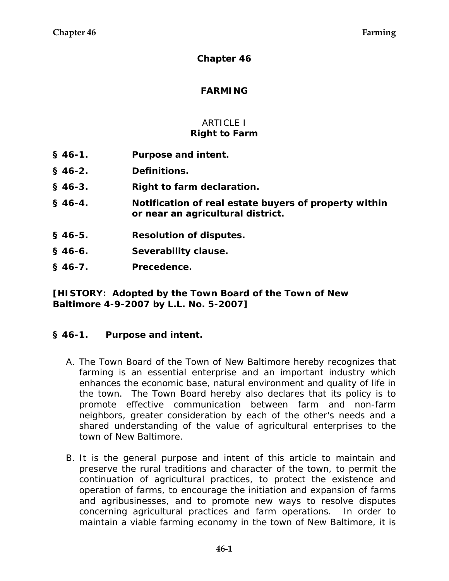### **Chapter 46**

### **FARMING**

## ARTICLE I **Right to Farm**

- **§ 46-1. Purpose and intent.**
- **§ 46-2. Definitions.**
- **§ 46-3. Right to farm declaration.**
- **§ 46-4. Notification of real estate buyers of property within or near an agricultural district.**
- **§ 46-5. Resolution of disputes.**
- **§ 46-6. Severability clause.**
- **§ 46-7. Precedence.**

**[HISTORY: Adopted by the Town Board of the Town of New Baltimore 4-9-2007 by L.L. No. 5-2007]**

### **§ 46-1. Purpose and intent.**

- A. The Town Board of the Town of New Baltimore hereby recognizes that farming is an essential enterprise and an important industry which enhances the economic base, natural environment and quality of life in the town. The Town Board hereby also declares that its policy is to promote effective communication between farm and non-farm neighbors, greater consideration by each of the other's needs and a shared understanding of the value of agricultural enterprises to the town of New Baltimore.
- B. It is the general purpose and intent of this article to maintain and preserve the rural traditions and character of the town, to permit the continuation of agricultural practices, to protect the existence and operation of farms, to encourage the initiation and expansion of farms and agribusinesses, and to promote new ways to resolve disputes concerning agricultural practices and farm operations. In order to maintain a viable farming economy in the town of New Baltimore, it is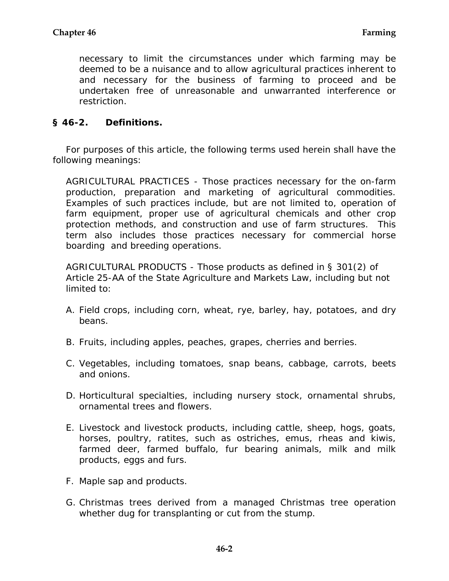necessary to limit the circumstances under which farming may be deemed to be a nuisance and to allow agricultural practices inherent to and necessary for the business of farming to proceed and be undertaken free of unreasonable and unwarranted interference or restriction.

## **§ 46-2. Definitions.**

For purposes of this article, the following terms used herein shall have the following meanings:

AGRICULTURAL PRACTICES - Those practices necessary for the on-farm production, preparation and marketing of agricultural commodities. Examples of such practices include, but are not limited to, operation of farm equipment, proper use of agricultural chemicals and other crop protection methods, and construction and use of farm structures. This term also includes those practices necessary for commercial horse boarding and breeding operations.

AGRICULTURAL PRODUCTS - Those products as defined in § 301(2) of Article 25-AA of the State Agriculture and Markets Law, including but not limited to:

- A. Field crops, including corn, wheat, rye, barley, hay, potatoes, and dry beans.
- B. Fruits, including apples, peaches, grapes, cherries and berries.
- C. Vegetables, including tomatoes, snap beans, cabbage, carrots, beets and onions.
- D. Horticultural specialties, including nursery stock, ornamental shrubs, ornamental trees and flowers.
- E. Livestock and livestock products, including cattle, sheep, hogs, goats, horses, poultry, ratites, such as ostriches, emus, rheas and kiwis, farmed deer, farmed buffalo, fur bearing animals, milk and milk products, eggs and furs.
- F. Maple sap and products.
- G. Christmas trees derived from a managed Christmas tree operation whether dug for transplanting or cut from the stump.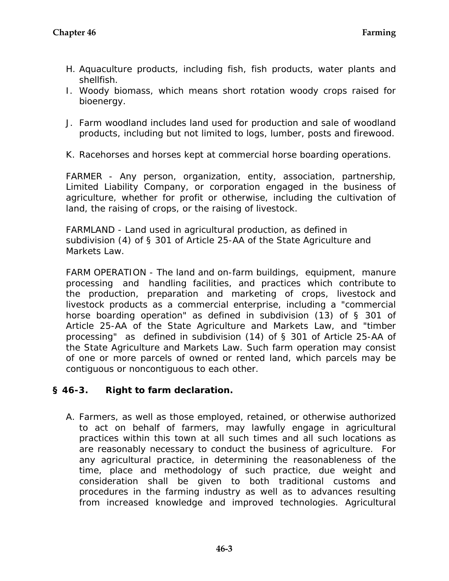- H. Aquaculture products, including fish, fish products, water plants and shellfish.
- I. Woody biomass, which means short rotation woody crops raised for bioenergy.
- J. Farm woodland includes land used for production and sale of woodland products, including but not limited to logs, lumber, posts and firewood.
- K. Racehorses and horses kept at commercial horse boarding operations.

FARMER - Any person, organization, entity, association, partnership, Limited Liability Company, or corporation engaged in the business of agriculture, whether for profit or otherwise, including the cultivation of land, the raising of crops, or the raising of livestock.

FARMLAND - Land used in agricultural production, as defined in subdivision (4) of § 301 of Article 25-AA of the State Agriculture and Markets Law.

FARM OPERATION - The land and on-farm buildings, equipment, manure processing and handling facilities, and practices which contribute to the production, preparation and marketing of crops, livestock and livestock products as a commercial enterprise, including a "commercial horse boarding operation" as defined in subdivision (13) of § 301 of Article 25-AA of the State Agriculture and Markets Law, and "timber processing" as defined in subdivision (14) of § 301 of Article 25-AA of the State Agriculture and Markets Law. Such farm operation may consist of one or more parcels of owned or rented land, which parcels may be contiguous or noncontiguous to each other.

# **§ 46-3. Right to farm declaration.**

A. Farmers, as well as those employed, retained, or otherwise authorized to act on behalf of farmers, may lawfully engage in agricultural practices within this town at all such times and all such locations as are reasonably necessary to conduct the business of agriculture. For any agricultural practice, in determining the reasonableness of the time, place and methodology of such practice, due weight and consideration shall be given to both traditional customs and procedures in the farming industry as well as to advances resulting from increased knowledge and improved technologies. Agricultural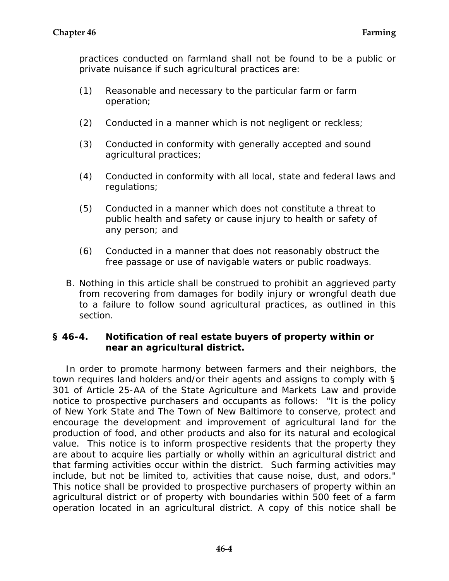practices conducted on farmland shall not be found to be a public or private nuisance if such agricultural practices are:

- (1) Reasonable and necessary to the particular farm or farm operation;
- (2) Conducted in a manner which is not negligent or reckless;
- (3) Conducted in conformity with generally accepted and sound agricultural practices;
- (4) Conducted in conformity with all local, state and federal laws and regulations;
- (5) Conducted in a manner which does not constitute a threat to public health and safety or cause injury to health or safety of any person; and
- (6) Conducted in a manner that does not reasonably obstruct the free passage or use of navigable waters or public roadways.
- B. Nothing in this article shall be construed to prohibit an aggrieved party from recovering from damages for bodily injury or wrongful death due to a failure to follow sound agricultural practices, as outlined in this section.

## **§ 46-4. Notification of real estate buyers of property within or near an agricultural district.**

In order to promote harmony between farmers and their neighbors, the town requires land holders and/or their agents and assigns to comply with § 301 of Article 25-AA of the State Agriculture and Markets Law and provide notice to prospective purchasers and occupants as follows: "It is the policy of New York State and The Town of New Baltimore to conserve, protect and encourage the development and improvement of agricultural land for the production of food, and other products and also for its natural and ecological value. This notice is to inform prospective residents that the property they are about to acquire lies partially or wholly within an agricultural district and that farming activities occur within the district. Such farming activities may include, but not be limited to, activities that cause noise, dust, and odors." This notice shall be provided to prospective purchasers of property within an agricultural district or of property with boundaries within 500 feet of a farm operation located in an agricultural district. A copy of this notice shall be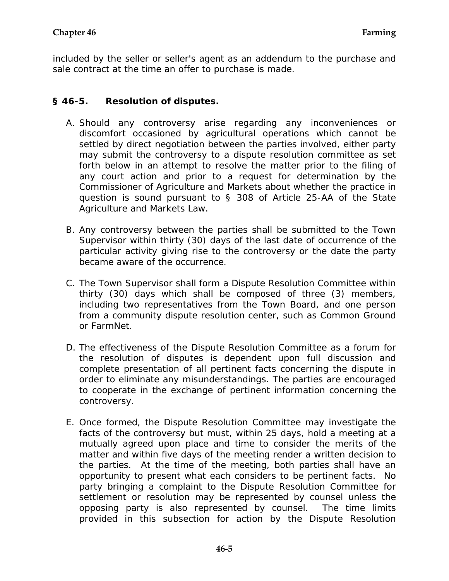included by the seller or seller's agent as an addendum to the purchase and sale contract at the time an offer to purchase is made.

# **§ 46-5. Resolution of disputes.**

- A. Should any controversy arise regarding any inconveniences or discomfort occasioned by agricultural operations which cannot be settled by direct negotiation between the parties involved, either party may submit the controversy to a dispute resolution committee as set forth below in an attempt to resolve the matter prior to the filing of any court action and prior to a request for determination by the Commissioner of Agriculture and Markets about whether the practice in question is sound pursuant to § 308 of Article 25-AA of the State Agriculture and Markets Law.
- B. Any controversy between the parties shall be submitted to the Town Supervisor within thirty (30) days of the last date of occurrence of the particular activity giving rise to the controversy or the date the party became aware of the occurrence.
- C. The Town Supervisor shall form a Dispute Resolution Committee within thirty (30) days which shall be composed of three (3) members, including two representatives from the Town Board, and one person from a community dispute resolution center, such as Common Ground or FarmNet.
- D. The effectiveness of the Dispute Resolution Committee as a forum for the resolution of disputes is dependent upon full discussion and complete presentation of all pertinent facts concerning the dispute in order to eliminate any misunderstandings. The parties are encouraged to cooperate in the exchange of pertinent information concerning the controversy.
- E. Once formed, the Dispute Resolution Committee may investigate the facts of the controversy but must, within 25 days, hold a meeting at a mutually agreed upon place and time to consider the merits of the matter and within five days of the meeting render a written decision to the parties. At the time of the meeting, both parties shall have an opportunity to present what each considers to be pertinent facts. No party bringing a complaint to the Dispute Resolution Committee for settlement or resolution may be represented by counsel unless the opposing party is also represented by counsel. The time limits provided in this subsection for action by the Dispute Resolution